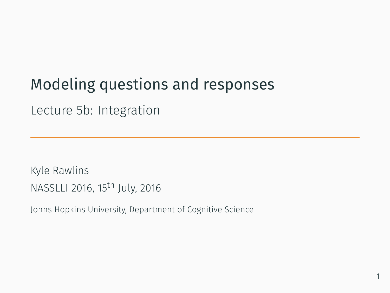# Modeling questions and responses

Lecture 5b: Integration

.

Kyle Rawlins NASSLLI 2016, 15th July, 2016

Johns Hopkins University, Department of Cognitive Science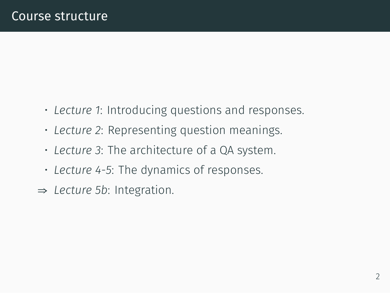- *Lecture 1*: Introducing questions and responses.
- *Lecture 2*: Representing question meanings.
- *Lecture 3*: The architecture of a QA system.
- *Lecture 4-5*: The dynamics of responses.
- *⇒ Lecture 5b*: Integration.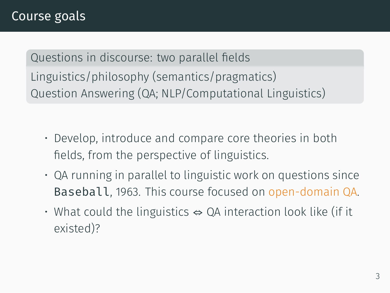. Questions in discourse: two parallel fields . Question Answering (QA; NLP/Computational Linguistics) Linguistics/philosophy (semantics/pragmatics)

- Develop, introduce and compare core theories in both fields, from the perspective of linguistics.
- QA running in parallel to linguistic work on questions since Baseball, 1963. This course focused on open-domain QA.
- What could the linguistics *⇔* QA interaction look like (if it existed)?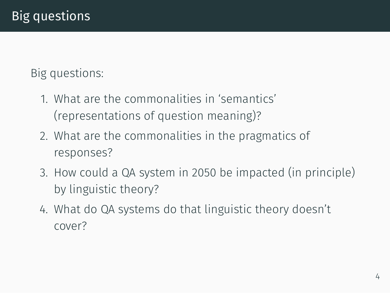Big questions:

- 1. What are the commonalities in 'semantics' (representations of question meaning)?
- 2. What are the commonalities in the pragmatics of responses?
- 3. How could a QA system in 2050 be impacted (in principle) by linguistic theory?
- 4. What do QA systems do that linguistic theory doesn't cover?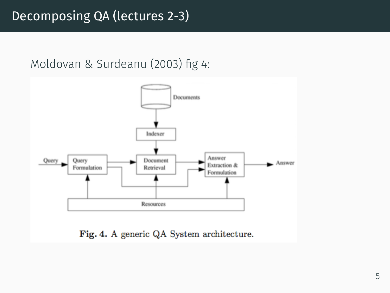#### Decomposing QA (lectures 2-3)

#### Moldovan & Surdeanu (2003) fig 4:



Fig. 4. A generic QA System architecture.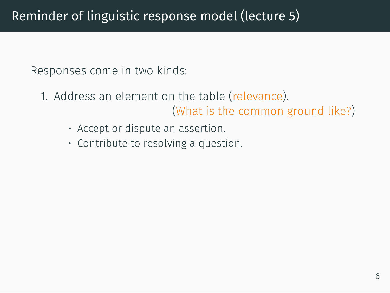Responses come in two kinds:

- 1. Address an element on the table (relevance). (What is the common ground like?)
	- Accept or dispute an assertion.
	- Contribute to resolving a question.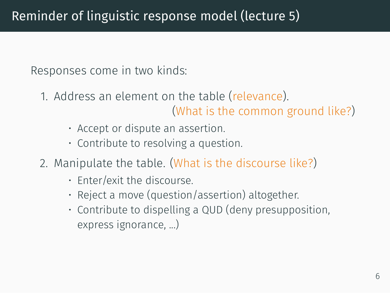Responses come in two kinds:

- 1. Address an element on the table (relevance). (What is the common ground like?)
	- Accept or dispute an assertion.
	- Contribute to resolving a question.
- 2. Manipulate the table. (What is the discourse like?)
	- Enter/exit the discourse.
	- Reject a move (question/assertion) altogether.
	- Contribute to dispelling a QUD (deny presupposition, express ignorance, ...)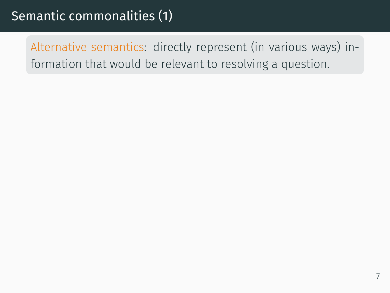# Semantic commonalities (1)

. . formation that would be relevant to resolving a question. Alternative semantics: directly represent (in various ways) in-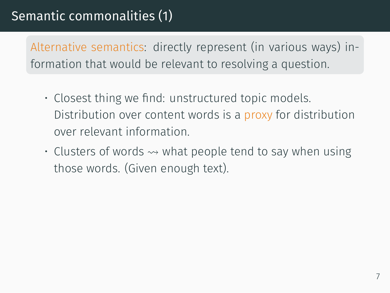# Semantic commonalities (1)

. . formation that would be relevant to resolving a question. Alternative semantics: directly represent (in various ways) in-

- Closest thing we find: unstructured topic models. Distribution over content words is a proxy for distribution over relevant information.
- Clusters of words  $\rightsquigarrow$  what people tend to say when using those words. (Given enough text).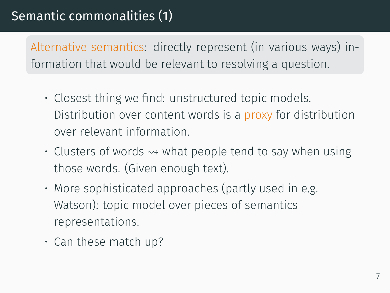# Semantic commonalities (1)

. . formation that would be relevant to resolving a question. Alternative semantics: directly represent (in various ways) in-

- Closest thing we find: unstructured topic models. Distribution over content words is a proxy for distribution over relevant information.
- Clusters of words  $\rightsquigarrow$  what people tend to say when using those words. (Given enough text).
- More sophisticated approaches (partly used in e.g. Watson): topic model over pieces of semantics representations.
- Can these match up?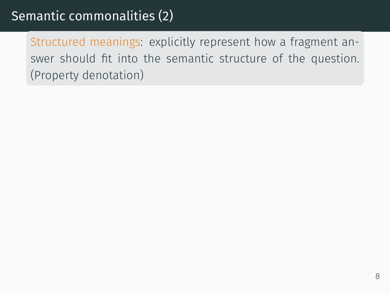#### Semantic commonalities (2)

. . (Property denotation) Structured meanings: explicitly represent how a fragment answer should fit into the semantic structure of the question.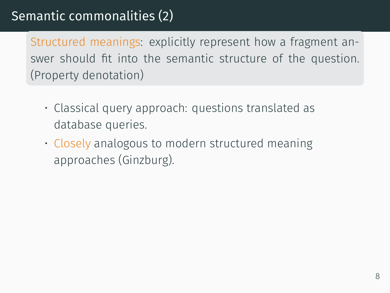## Semantic commonalities (2)

. . (Property denotation) Structured meanings: explicitly represent how a fragment answer should fit into the semantic structure of the question.

- Classical query approach: questions translated as database queries.
- Closely analogous to modern structured meaning approaches (Ginzburg).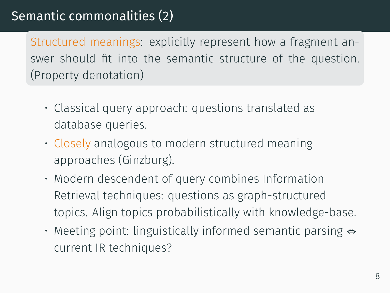# Semantic commonalities (2)

. . (Property denotation) Structured meanings: explicitly represent how a fragment answer should fit into the semantic structure of the question.

- Classical query approach: questions translated as database queries.
- Closely analogous to modern structured meaning approaches (Ginzburg).
- Modern descendent of query combines Information Retrieval techniques: questions as graph-structured topics. Align topics probabilistically with knowledge-base.
- Meeting point: linguistically informed semantic parsing *⇔* current IR techniques?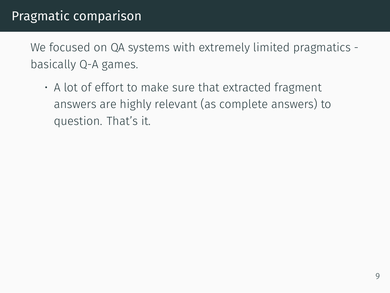#### Pragmatic comparison

We focused on QA systems with extremely limited pragmatics basically Q-A games.

• A lot of effort to make sure that extracted fragment answers are highly relevant (as complete answers) to question. That's it.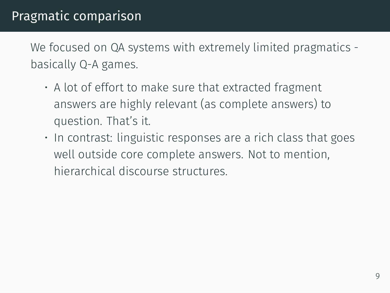#### Pragmatic comparison

We focused on QA systems with extremely limited pragmatics basically Q-A games.

- A lot of effort to make sure that extracted fragment answers are highly relevant (as complete answers) to question. That's it.
- In contrast: linguistic responses are a rich class that goes well outside core complete answers. Not to mention, hierarchical discourse structures.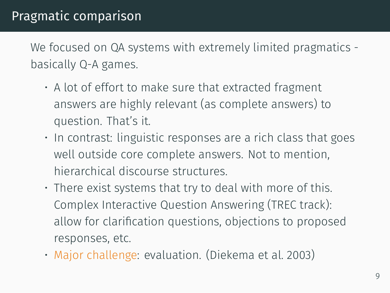We focused on QA systems with extremely limited pragmatics basically Q-A games.

- A lot of effort to make sure that extracted fragment answers are highly relevant (as complete answers) to question. That's it.
- In contrast: linguistic responses are a rich class that goes well outside core complete answers. Not to mention, hierarchical discourse structures.
- There exist systems that try to deal with more of this. Complex Interactive Question Answering (TREC track): allow for clarification questions, objections to proposed responses, etc.
- Major challenge: evaluation. (Diekema et al. 2003)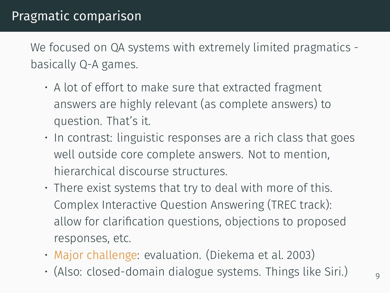We focused on QA systems with extremely limited pragmatics basically Q-A games.

- A lot of effort to make sure that extracted fragment answers are highly relevant (as complete answers) to question. That's it.
- In contrast: linguistic responses are a rich class that goes well outside core complete answers. Not to mention, hierarchical discourse structures.
- There exist systems that try to deal with more of this. Complex Interactive Question Answering (TREC track): allow for clarification questions, objections to proposed responses, etc.
- Major challenge: evaluation. (Diekema et al. 2003)
- $\cdot$  (Also: closed-domain dialogue systems. Things like Siri.)  $\overline{\phantom{a}}$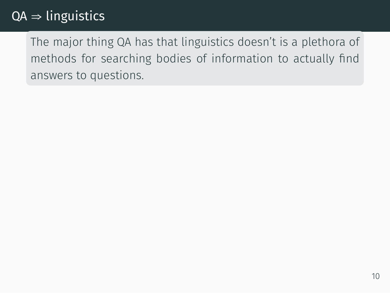. . answers to questions. The major thing QA has that linguistics doesn't is a plethora of methods for searching bodies of information to actually find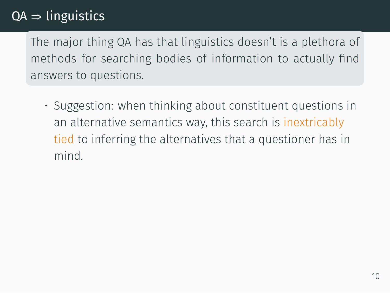. . answers to questions. The major thing QA has that linguistics doesn't is a plethora of methods for searching bodies of information to actually find

• Suggestion: when thinking about constituent questions in an alternative semantics way, this search is inextricably tied to inferring the alternatives that a questioner has in mind.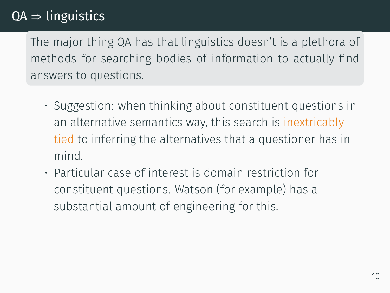. . answers to questions. The major thing QA has that linguistics doesn't is a plethora of methods for searching bodies of information to actually find

- Suggestion: when thinking about constituent questions in an alternative semantics way, this search is inextricably tied to inferring the alternatives that a questioner has in mind.
- Particular case of interest is domain restriction for constituent questions. Watson (for example) has a substantial amount of engineering for this.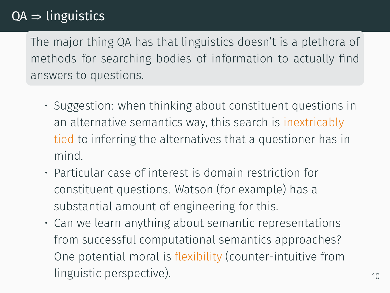. . answers to questions. The major thing QA has that linguistics doesn't is a plethora of methods for searching bodies of information to actually find

- Suggestion: when thinking about constituent questions in an alternative semantics way, this search is inextricably tied to inferring the alternatives that a questioner has in mind.
- Particular case of interest is domain restriction for constituent questions. Watson (for example) has a substantial amount of engineering for this.
- Can we learn anything about semantic representations from successful computational semantics approaches? One potential moral is flexibility (counter-intuitive from linguistic perspective). 10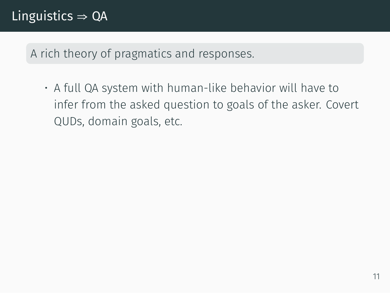.A rich theory of pragmatics and responses.

• A full QA system with human-like behavior will have to infer from the asked question to goals of the asker. Covert QUDs, domain goals, etc.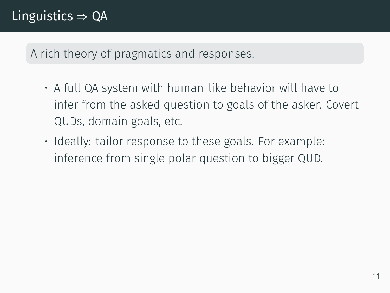.A rich theory of pragmatics and responses.

- A full QA system with human-like behavior will have to infer from the asked question to goals of the asker. Covert QUDs, domain goals, etc.
- Ideally: tailor response to these goals. For example: inference from single polar question to bigger QUD.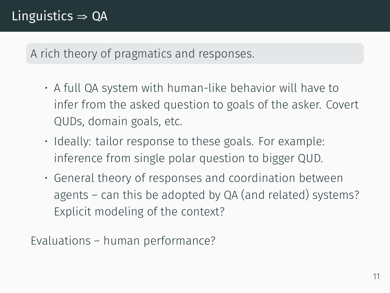# .A rich theory of pragmatics and responses.

- A full QA system with human-like behavior will have to infer from the asked question to goals of the asker. Covert QUDs, domain goals, etc.
- Ideally: tailor response to these goals. For example: inference from single polar question to bigger QUD.
- General theory of responses and coordination between agents – can this be adopted by QA (and related) systems? Explicit modeling of the context?

Evaluations – human performance?